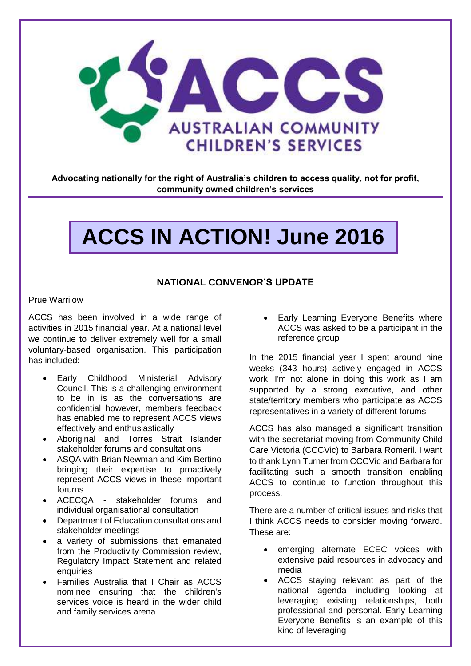

**Advocating nationally for the right of Australia's children to access quality, not for profit, community owned children's services**

# **ACCS IN ACTION! June 2016**

## **NATIONAL CONVENOR'S UPDATE**

#### Prue Warrilow

ACCS has been involved in a wide range of activities in 2015 financial year. At a national level we continue to deliver extremely well for a small voluntary-based organisation. This participation has included:

- Early Childhood Ministerial Advisory Council. This is a challenging environment to be in is as the conversations are confidential however, members feedback has enabled me to represent ACCS views effectively and enthusiastically
- Aboriginal and Torres Strait Islander stakeholder forums and consultations
- ASQA with Brian Newman and Kim Bertino bringing their expertise to proactively represent ACCS views in these important forums
- ACECQA stakeholder forums and individual organisational consultation
- Department of Education consultations and stakeholder meetings
- a variety of submissions that emanated from the Productivity Commission review, Regulatory Impact Statement and related enquiries
- Families Australia that I Chair as ACCS nominee ensuring that the children's services voice is heard in the wider child and family services arena

 Early Learning Everyone Benefits where ACCS was asked to be a participant in the reference group

In the 2015 financial year I spent around nine weeks (343 hours) actively engaged in ACCS work. I'm not alone in doing this work as I am supported by a strong executive, and other state/territory members who participate as ACCS representatives in a variety of different forums.

ACCS has also managed a significant transition with the secretariat moving from Community Child Care Victoria (CCCVic) to Barbara Romeril. I want to thank Lynn Turner from CCCVic and Barbara for facilitating such a smooth transition enabling ACCS to continue to function throughout this process.

There are a number of critical issues and risks that I think ACCS needs to consider moving forward. These are:

- emerging alternate ECEC voices with extensive paid resources in advocacy and media
- ACCS staying relevant as part of the national agenda including looking at leveraging existing relationships, both professional and personal. Early Learning Everyone Benefits is an example of this kind of leveraging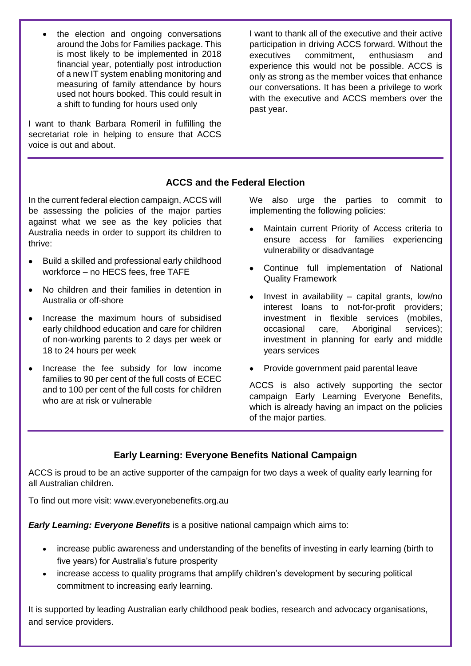the election and ongoing conversations around the Jobs for Families package. This is most likely to be implemented in 2018 financial year, potentially post introduction of a new IT system enabling monitoring and measuring of family attendance by hours used not hours booked. This could result in a shift to funding for hours used only

I want to thank Barbara Romeril in fulfilling the secretariat role in helping to ensure that ACCS voice is out and about.

I want to thank all of the executive and their active participation in driving ACCS forward. Without the executives commitment, enthusiasm and experience this would not be possible. ACCS is only as strong as the member voices that enhance our conversations. It has been a privilege to work with the executive and ACCS members over the past year.

# **ACCS and the Federal Election**

In the current federal election campaign, ACCS will be assessing the policies of the major parties against what we see as the key policies that Australia needs in order to support its children to thrive:

- Build a skilled and professional early childhood workforce – no HECS fees, free TAFE
- No children and their families in detention in Australia or off-shore
- Increase the maximum hours of subsidised early childhood education and care for children of non-working parents to 2 days per week or 18 to 24 hours per week
- Increase the fee subsidy for low income families to 90 per cent of the full costs of ECEC and to 100 per cent of the full costs for children who are at risk or vulnerable

We also urge the parties to commit to implementing the following policies:

- Maintain current Priority of Access criteria to ensure access for families experiencing vulnerability or disadvantage
- Continue full implementation of National Quality Framework
- $\bullet$  Invest in availability capital grants, low/no interest loans to not-for-profit providers; investment in flexible services (mobiles, occasional care, Aboriginal services); investment in planning for early and middle years services
- Provide government paid parental leave

ACCS is also actively supporting the sector campaign Early Learning Everyone Benefits, which is already having an impact on the policies of the major parties.

# **Early Learning: Everyone Benefits National Campaign**

ACCS is proud to be an active supporter of the campaign for two days a week of quality early learning for all Australian children.

To find out more visit: www.everyonebenefits.org.au

*Early Learning: Everyone Benefits* is a positive national campaign which aims to:

- increase public awareness and understanding of the benefits of investing in early learning (birth to five years) for Australia's future prosperity
- increase access to quality programs that amplify children's development by securing political commitment to increasing early learning.

It is supported by leading Australian early childhood peak bodies, research and advocacy organisations, and service providers.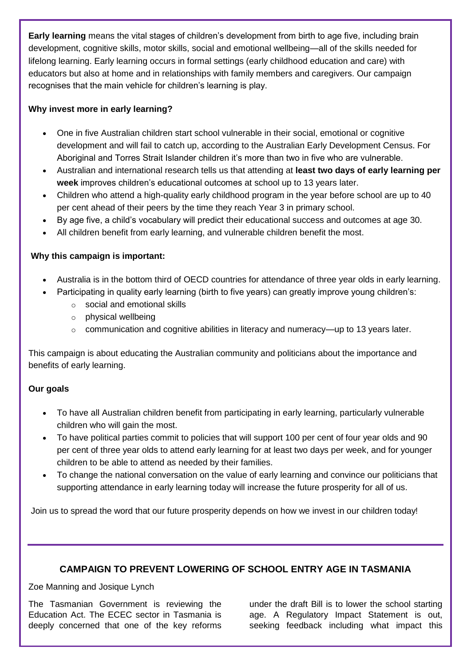**Early learning** means the vital stages of children's development from birth to age five, including brain development, cognitive skills, motor skills, social and emotional wellbeing—all of the skills needed for lifelong learning. Early learning occurs in formal settings (early childhood education and care) with educators but also at home and in relationships with family members and caregivers. Our campaign recognises that the main vehicle for children's learning is play.

# **Why invest more in early learning?**

- One in five Australian children start school vulnerable in their social, emotional or cognitive development and will fail to catch up, according to the [Australian Early Development](https://www.aedc.gov.au/about-the-aedc/aedc-news/article/2016/03/08/2015-summary-findings) Census. For Aboriginal and Torres Strait Islander children it's more than two in five who are vulnerable.
- Australian and international research tells us that attending at **least two days of early learning per week** improves children's educational outcomes at school up to 13 years later.
- Children who attend a high-quality early childhood program in the year before school are up to 40 per cent ahead of their peers by the time they reach Year 3 in primary school.
- By age five, a child's vocabulary will predict their educational success and outcomes at age 30.
- All children benefit from early learning, and vulnerable children benefit the most.

# **Why this campaign is important:**

- Australia is in the bottom third of OECD countries for attendance of three year olds in early learning.
- Participating in quality early learning (birth to five years) can greatly improve young children's:
	- o social and emotional skills
	- o physical wellbeing
	- o communication and cognitive abilities in literacy and numeracy—up to 13 years later.

This campaign is about educating the Australian community and politicians about the importance and benefits of early learning.

## **Our goals**

- To have all Australian children benefit from participating in early learning, particularly vulnerable children who will gain the most.
- To have political parties commit to policies that will support 100 per cent of four year olds and 90 per cent of three year olds to attend early learning for at least two days per week, and for younger children to be able to attend as needed by their families.
- To change the national conversation on the value of early learning and convince our politicians that supporting attendance in early learning today will increase the future prosperity for all of us.

Join us to spread the word that our future prosperity depends on how we invest in our children today!

# **CAMPAIGN TO PREVENT LOWERING OF SCHOOL ENTRY AGE IN TASMANIA**

Zoe Manning and Josique Lynch

The Tasmanian Government is reviewing the Education Act. The ECEC sector in Tasmania is deeply concerned that one of the key reforms

under the draft Bill is to lower the school starting age. A Regulatory Impact Statement is out, seeking feedback including what impact this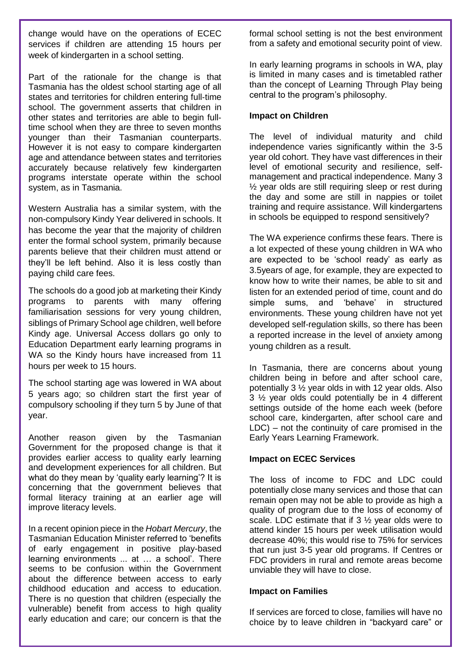change would have on the operations of ECEC services if children are attending 15 hours per week of kindergarten in a school setting.

Part of the rationale for the change is that Tasmania has the oldest school starting age of all states and territories for children entering full‐time school. The government asserts that children in other states and territories are able to begin full‐ time school when they are three to seven months younger than their Tasmanian counterparts. However it is not easy to compare kindergarten age and attendance between states and territories accurately because relatively few kindergarten programs interstate operate within the school system, as in Tasmania.

Western Australia has a similar system, with the non-compulsory Kindy Year delivered in schools. It has become the year that the majority of children enter the formal school system, primarily because parents believe that their children must attend or they'll be left behind. Also it is less costly than paying child care fees.

The schools do a good job at marketing their Kindy programs to parents with many offering familiarisation sessions for very young children, siblings of Primary School age children, well before Kindy age. Universal Access dollars go only to Education Department early learning programs in WA so the Kindy hours have increased from 11 hours per week to 15 hours.

The school starting age was lowered in WA about 5 years ago; so children start the first year of compulsory schooling if they turn 5 by June of that year.

Another reason given by the Tasmanian Government for the proposed change is that it provides earlier access to quality early learning and development experiences for all children. But what do they mean by 'quality early learning'? It is concerning that the government believes that formal literacy training at an earlier age will improve literacy levels.

In a recent opinion piece in the *Hobart Mercury*, the Tasmanian Education Minister referred to 'benefits of early engagement in positive play-based learning environments ... at … a school'. There seems to be confusion within the Government about the difference between access to early childhood education and access to education. There is no question that children (especially the vulnerable) benefit from access to high quality early education and care; our concern is that the

formal school setting is not the best environment from a safety and emotional security point of view.

In early learning programs in schools in WA, play is limited in many cases and is timetabled rather than the concept of Learning Through Play being central to the program's philosophy.

#### **Impact on Children**

The level of individual maturity and child independence varies significantly within the 3-5 year old cohort. They have vast differences in their level of emotional security and resilience, selfmanagement and practical independence. Many 3 ½ year olds are still requiring sleep or rest during the day and some are still in nappies or toilet training and require assistance. Will kindergartens in schools be equipped to respond sensitively?

The WA experience confirms these fears. There is a lot expected of these young children in WA who are expected to be 'school ready' as early as 3.5years of age, for example, they are expected to know how to write their names, be able to sit and listen for an extended period of time, count and do simple sums, and 'behave' in structured environments. These young children have not yet developed self-regulation skills, so there has been a reported increase in the level of anxiety among young children as a result.

In Tasmania, there are concerns about young children being in before and after school care, potentially 3 ½ year olds in with 12 year olds. Also 3 ½ year olds could potentially be in 4 different settings outside of the home each week (before school care, kindergarten, after school care and LDC) – not the continuity of care promised in the Early Years Learning Framework.

## **Impact on ECEC Services**

The loss of income to FDC and LDC could potentially close many services and those that can remain open may not be able to provide as high a quality of program due to the loss of economy of scale. LDC estimate that if 3 ½ year olds were to attend kinder 15 hours per week utilisation would decrease 40%; this would rise to 75% for services that run just 3-5 year old programs. If Centres or FDC providers in rural and remote areas become unviable they will have to close.

#### **Impact on Families**

If services are forced to close, families will have no choice by to leave children in "backyard care" or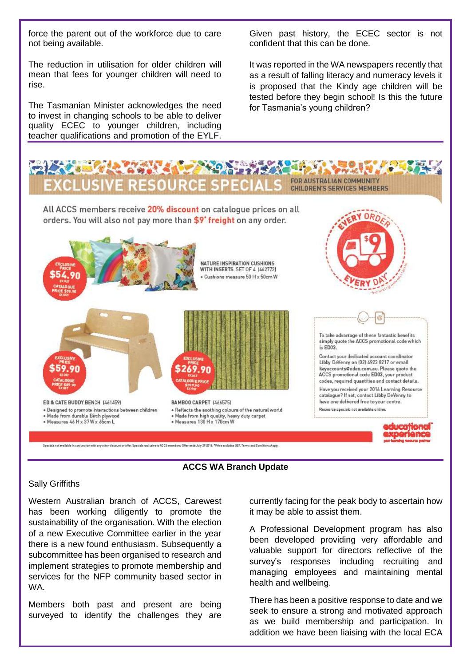force the parent out of the workforce due to care not being available.

The reduction in utilisation for older children will mean that fees for younger children will need to rise.

The Tasmanian Minister acknowledges the need to invest in changing schools to be able to deliver quality ECEC to younger children, including teacher qualifications and promotion of the EYLF.

Given past history, the ECEC sector is not confident that this can be done.

It was reported in the WA newspapers recently that as a result of falling literacy and numeracy levels it is proposed that the Kindy age children will be tested before they begin school! Is this the future for Tasmania's young children?





#### Sally Griffiths

Western Australian branch of ACCS, Carewest has been working diligently to promote the sustainability of the organisation. With the election of a new Executive Committee earlier in the year there is a new found enthusiasm. Subsequently a subcommittee has been organised to research and implement strategies to promote membership and services for the NFP community based sector in WA.

Members both past and present are being surveyed to identify the challenges they are

currently facing for the peak body to ascertain how it may be able to assist them.

A Professional Development program has also been developed providing very affordable and valuable support for directors reflective of the survey's responses including recruiting and managing employees and maintaining mental health and wellbeing.

There has been a positive response to date and we seek to ensure a strong and motivated approach as we build membership and participation. In addition we have been liaising with the local ECA